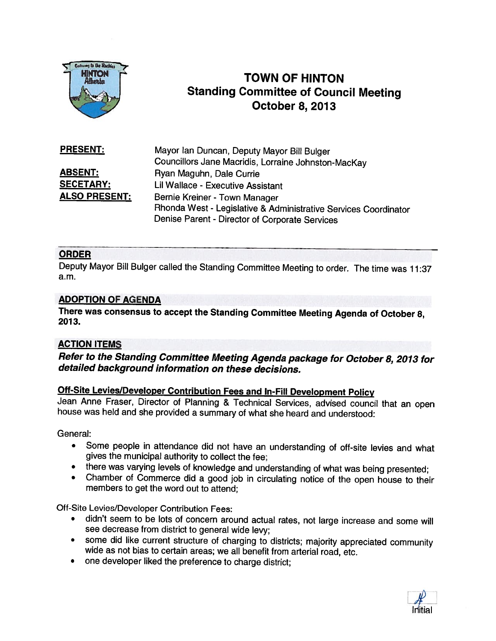

# **TOWN OF HINTON** Standing Committee of Council Meeting October 8, 2013

| <b>PRESENT:</b>      | Mayor Ian Duncan, Deputy Mayor Bill Bulger                      |
|----------------------|-----------------------------------------------------------------|
|                      | Councillors Jane Macridis, Lorraine Johnston-MacKay             |
| ABSENT:              | Ryan Maguhn, Dale Currie                                        |
| <b>SECETARY:</b>     | Lil Wallace - Executive Assistant                               |
| <b>ALSO PRESENT:</b> | Bernie Kreiner - Town Manager                                   |
|                      | Rhonda West - Legislative & Administrative Services Coordinator |
|                      | Denise Parent - Director of Corporate Services                  |

### ORDER

Deputy Mayor Bill Bulger called the Standing Committee Meeting to order. The time was 11:37 a.m.

#### ADOPTION OF AGENDA

There was consensus to accept the Standing Committee Meeting Agenda of October 8, 2013.

#### ACTION ITEMS

Refer to the Standing Committee Meeting Agenda package for October 8, <sup>2013</sup> for detailed background information on these decisions.

## Off-Site Levies/Developer Contribution Fees and In-Fill Development Policy

Jean Anne Fraser, Director of Planning & Technical Services, advised council that an open house was held and she provided <sup>a</sup> summary of what she heard and understood:

General:

- • Some people in attendance did not have an understanding of off-site levies and what <sup>g</sup>ives the municipal authority to collect the fee;
- there was varying levels of knowledge and understanding of what was being presented;
- •Chamber of Commerce did <sup>a</sup> good job in circulating notice of the open house to their members to get the word out to attend;

Off-Site Levies/Developer Contribution Fees:

- • didn't seem to be lots of concern around actual rates, not large increase and some will see decrease from district to general wide levy;
- •some did like current structure of charging to districts; majority appreciated community wide as not bias to certain areas; we all benefit from arterial road, etc.
- $\bullet$ one developer liked the preference to charge district;

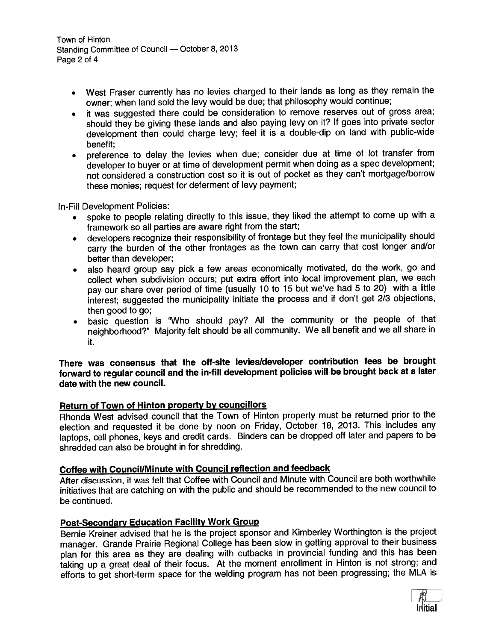Town of Hinton Standing Committee of Council — October 8, <sup>2013</sup> Page 2 of 4

- • West Fraser currently has no levies charged to their lands as long as they remain the owner; when land sold the levy would be due; that <sup>p</sup>hilosophy would continue;
- • it was suggested there could be consideration to remove reserves out of gross area; should they be <sup>g</sup>iving these lands and also paying levy on it? If goes into private sector development then could charge levy; feel it is <sup>a</sup> double-dip on land with public-wide benefit;
- preference to delay the levies when due; consider due at time of lot transfer from developer to buyer or at time of development permit when doing as <sup>a</sup> spec development; not considered <sup>a</sup> construction cost so it is out of pocket as they can't mortgage/borrow these monies; reques<sup>t</sup> for deferment of levy payment;

In-Fill Development Policies:

- • spoke to people relating directly to this issue, they liked the attempt to come up with <sup>a</sup> framework so all parties are aware right from the start;
- developers recognize their responsibility of frontage but they feel the municipality should carry the burden of the other frontages as the town can carry that cost longer and/or better than developer;
- • also heard group say <sup>p</sup>ick <sup>a</sup> few areas economically motivated, do the work, go and collect when subdivision occurs; pu<sup>t</sup> extra effort into local improvement <sup>p</sup>lan, we each pay our share over period of time (usually <sup>10</sup> to <sup>15</sup> but we've had <sup>5</sup> to 20) with <sup>a</sup> little interest; suggested the municipality initiate the process and if don't ge<sup>t</sup> 2/3 objections, then good to go;
- basic question is 'Who should pay? All the community or the people of that neighborhood?" Majority felt should be all community. We all benefit and we all share in it.

#### There was consensus that the off-site levies/developer contribution fees be brought forward to regular council and the in-fill development policies will be brought back at <sup>a</sup> later date with the new council.

#### Return of Town of Hinton property by councillors

Rhonda West advised council that the Town of Hinton property must be returned prior to the election and requested it be done by noon on Friday, October 18, 2013. This includes any laptops, cell <sup>p</sup>hones, keys and credit cards. Binders can be dropped off later and papers to be shredded can also be brought in for shredding.

## Coffee with Council/Minute with Council reflection and feedback

After discussion, it was felt that Coffee with Council and Minute with Council are both worthwhile initiatives that are catching on with the public and should be recommended to the new council to be continued.

#### Post-Secondary Education Facility Work Group

Bernie Kreiner advised that he is the project sponsor and Kimberley Worthington is the project manager. Grande Prairie Regional College has been slow in getting approva<sup>l</sup> to their business <sup>p</sup>lan for this area as they are dealing with cutbacks in provincial funding and this has been taking up a great deal of their focus. At the moment enrollment in Hinton is not strong; and efforts to ge<sup>t</sup> short-term space for the welding program has not been progressing; the MLA is

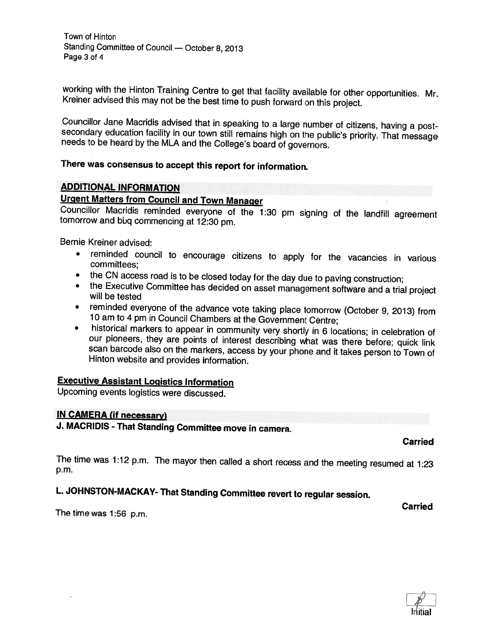working with the Hinton Training Centre to get that facility available for other opportunities. Mr. Kreiner advised this may not be the best time to push forward on this project.

Councillor Jane Macridis advised that in speaking to a large number of citizens, having a post-<br>secondary education facility in our town still remains high on the public's priority. That message<br>needs to be heard by the ML

# There was consensus to accept this report for information.

#### ADDIT!ONAL INFORMATION

Urgent Matters from Council and Town Manager<br>Councillor Macridis reminded everyone of the 1:30 pm signing of the landfill agreement tomorrow and bbg commencing at 12:30 pm.

Bernie Kreiner advised:

- •reminded council to encourage citizens to apply for the vacancies in various committees;
- the CN access road is to be closed today for the day due to paving construction;
- the Executive Committee has decided on asset management software and <sup>a</sup> trial project will be tested
- reminded everyone of the advance vote taking <sup>p</sup>lace tomorrow (October 9, 2013) from <sup>10</sup> am to <sup>4</sup> pm in Council Chambers at the Government Centre;
- •historical markers to appear in community very shortly in 6 locations; in celebration of our pioneers, they are points of interest describing what was there before; quick link scan barcode also on the markers, access by your phone and it takes person to Town of Hinton website and provides information.

#### Executive Assistant Logistics Information

Upcoming events logistics were discussed.

#### (N CAMERA (if necessary)

J. MACRIDIS - That Standing Committee move in camera.

Carried

The time was 1:12 p.m. The mayor then called <sup>a</sup> short recess and the meeting resumed at 1:23 p.m.

# L. JOHNSTON-MACKAY- That Standing Committee revert to regular session.

Carried The time was 1:56 p.m.